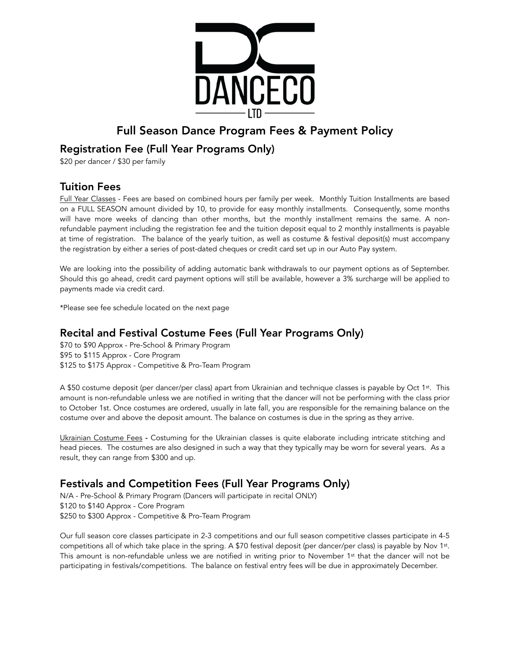

# Full Season Dance Program Fees & Payment Policy

### Registration Fee (Full Year Programs Only)

\$20 per dancer / \$30 per family

#### Tuition Fees

Full Year Classes - Fees are based on combined hours per family per week. Monthly Tuition Installments are based on a FULL SEASON amount divided by 10, to provide for easy monthly installments. Consequently, some months will have more weeks of dancing than other months, but the monthly installment remains the same. A nonrefundable payment including the registration fee and the tuition deposit equal to 2 monthly installments is payable at time of registration. The balance of the yearly tuition, as well as costume & festival deposit(s) must accompany the registration by either a series of post-dated cheques or credit card set up in our Auto Pay system.

We are looking into the possibility of adding automatic bank withdrawals to our payment options as of September. Should this go ahead, credit card payment options will still be available, however a 3% surcharge will be applied to payments made via credit card.

\*Please see fee schedule located on the next page

# Recital and Festival Costume Fees (Full Year Programs Only)

\$70 to \$90 Approx - Pre-School & Primary Program \$95 to \$115 Approx - Core Program \$125 to \$175 Approx - Competitive & Pro-Team Program

A \$50 costume deposit (per dancer/per class) apart from Ukrainian and technique classes is payable by Oct 1<sup>st</sup>. This amount is non-refundable unless we are notified in writing that the dancer will not be performing with the class prior to October 1st. Once costumes are ordered, usually in late fall, you are responsible for the remaining balance on the costume over and above the deposit amount. The balance on costumes is due in the spring as they arrive.

Ukrainian Costume Fees - Costuming for the Ukrainian classes is quite elaborate including intricate stitching and head pieces. The costumes are also designed in such a way that they typically may be worn for several years. As a result, they can range from \$300 and up.

## Festivals and Competition Fees (Full Year Programs Only)

N/A - Pre-School & Primary Program (Dancers will participate in recital ONLY) \$120 to \$140 Approx - Core Program \$250 to \$300 Approx - Competitive & Pro-Team Program

Our full season core classes participate in 2-3 competitions and our full season competitive classes participate in 4-5 competitions all of which take place in the spring. A \$70 festival deposit (per dancer/per class) is payable by Nov 1st. This amount is non-refundable unless we are notified in writing prior to November 1st that the dancer will not be participating in festivals/competitions. The balance on festival entry fees will be due in approximately December.